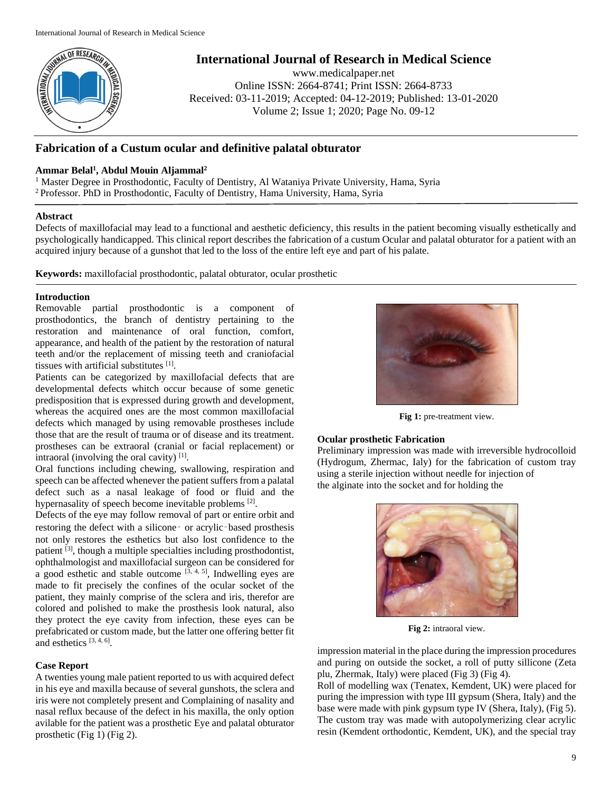

**International Journal of Research in Medical Science**

www.medicalpaper.net Online ISSN: 2664-8741; Print ISSN: 2664-8733 Received: 03-11-2019; Accepted: 04-12-2019; Published: 13-01-2020 Volume 2; Issue 1; 2020; Page No. 09-12

# **Fabrication of a Custum ocular and definitive palatal obturator**

# **Ammar Belal<sup>1</sup> , Abdul Mouin Aljammal<sup>2</sup>**

<sup>1</sup> Master Degree in Prosthodontic, Faculty of Dentistry, Al Wataniya Private University, Hama, Syria <sup>2</sup>Professor. PhD in Prosthodontic, Faculty of Dentistry, Hama University, Hama, Syria

### **Abstract**

Defects of maxillofacial may lead to a functional and aesthetic deficiency, this results in the patient becoming visually esthetically and psychologically handicapped. This clinical report describes the fabrication of a custum Ocular and palatal obturator for a patient with an acquired injury because of a gunshot that led to the loss of the entire left eye and part of his palate.

**Keywords:** maxillofacial prosthodontic, palatal obturator, ocular prosthetic

### **Introduction**

Removable partial prosthodontic is a component of prosthodontics, the branch of dentistry pertaining to the restoration and maintenance of oral function, comfort, appearance, and health of the patient by the restoration of natural teeth and/or the replacement of missing teeth and craniofacial tissues with artificial substitutes [1].

Patients can be categorized by maxillofacial defects that are developmental defects whitch occur because of some genetic predisposition that is expressed during growth and development, whereas the acquired ones are the most common maxillofacial defects which managed by using removable prostheses include those that are the result of trauma or of disease and its treatment. prostheses can be extraoral (cranial or facial replacement) or intraoral (involving the oral cavity)  $[1]$ .

Oral functions including chewing, swallowing, respiration and speech can be affected whenever the patient suffers from a palatal defect such as a nasal leakage of food or fluid and the hypernasality of speech become inevitable problems [2].

Defects of the eye may follow removal of part or entire orbit and restoring the defect with a silicone or acrylic based prosthesis not only restores the esthetics but also lost confidence to the patient <sup>[3]</sup>, though a multiple specialties including prosthodontist, ophthalmologist and maxillofacial surgeon can be considered for a good esthetic and stable outcome  $[3, 4, 5]$ , Indwelling eyes are made to fit precisely the confines of the ocular socket of the patient, they mainly comprise of the sclera and iris, therefor are colored and polished to make the prosthesis look natural, also they protect the eye cavity from infection, these eyes can be prefabricated or custom made, but the latter one offering better fit and esthetics [3, 4, 6] .

# **Case Report**

A twenties young male patient reported to us with acquired defect in his eye and maxilla because of several gunshots, the sclera and iris were not completely present and Complaining of nasality and nasal reflux because of the defect in his maxilla, the only option avilable for the patient was a prosthetic Eye and palatal obturator prosthetic (Fig 1) (Fig 2).



**Fig 1:** pre-treatment view.

# **Ocular prosthetic Fabrication**

Preliminary impression was made with irreversible hydrocolloid (Hydrogum, Zhermac, Ialy) for the fabrication of custom tray using a sterile injection without needle for injection of the alginate into the socket and for holding the



**Fig 2:** intraoral view.

impression material in the place during the impression procedures and puring on outside the socket, a roll of putty sillicone (Zeta plu, Zhermak, Italy) were placed (Fig 3) (Fig 4).

Roll of modelling wax (Tenatex, Kemdent, UK) were placed for puring the impression with type III gypsum (Shera, Italy) and the base were made with pink gypsum type IV (Shera, Italy), (Fig 5). The custom tray was made with autopolymerizing clear acrylic resin (Kemdent orthodontic, Kemdent, UK), and the special tray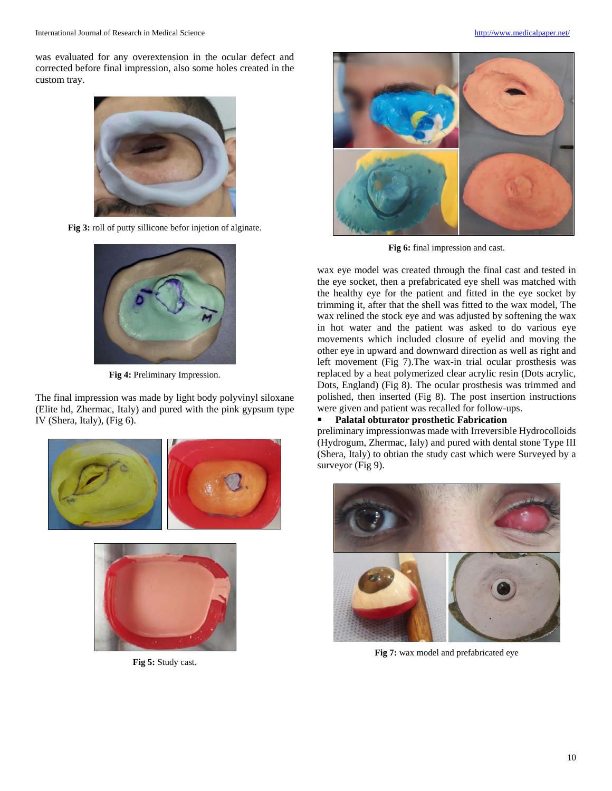was evaluated for any overextension in the ocular defect and corrected before final impression, also some holes created in the custom tray.



**Fig 3:** roll of putty sillicone befor injetion of alginate.



**Fig 4:** Preliminary Impression.

The final impression was made by light body polyvinyl siloxane (Elite hd, Zhermac, Italy) and pured with the pink gypsum type IV (Shera, Italy), (Fig 6).





**Fig 5:** Study cast.



**Fig 6:** final impression and cast.

wax eye model was created through the final cast and tested in the eye socket, then a prefabricated eye shell was matched with the healthy eye for the patient and fitted in the eye socket by trimming it, after that the shell was fitted to the wax model, The wax relined the stock eye and was adjusted by softening the wax in hot water and the patient was asked to do various eye movements which included closure of eyelid and moving the other eye in upward and downward direction as well as right and left movement (Fig 7).The wax-in trial ocular prosthesis was replaced by a heat polymerized clear acrylic resin (Dots acrylic, Dots, England) (Fig 8). The ocular prosthesis was trimmed and polished, then inserted (Fig 8). The post insertion instructions were given and patient was recalled for follow-ups.

### **Palatal obturator prosthetic Fabrication**

preliminary impressionwas made with Irreversible Hydrocolloids (Hydrogum, Zhermac, Ialy) and pured with dental stone Type III (Shera, Italy) to obtian the study cast which were Surveyed by a surveyor (Fig 9).



**Fig 7:** wax model and prefabricated eye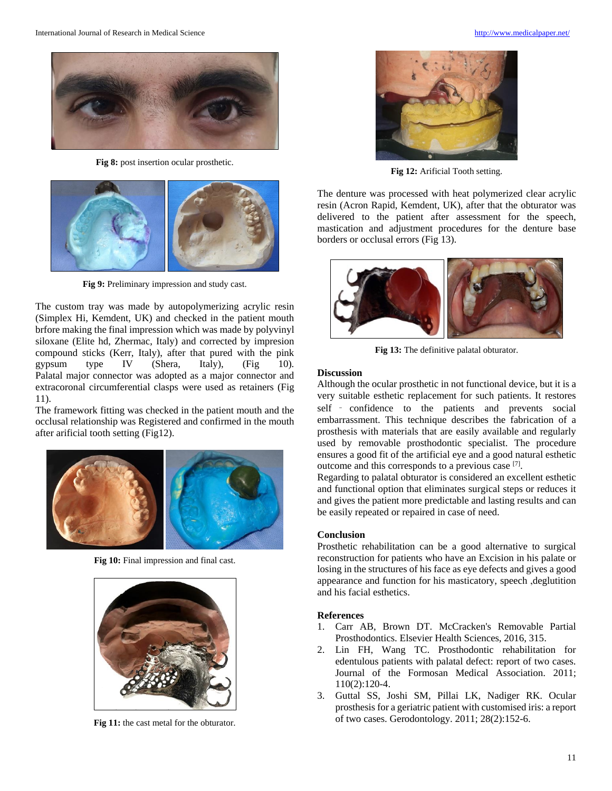

**Fig 8:** post insertion ocular prosthetic.



**Fig 9:** Preliminary impression and study cast.

The custom tray was made by autopolymerizing acrylic resin (Simplex Hi, Kemdent, UK) and checked in the patient mouth brfore making the final impression which was made by polyvinyl siloxane (Elite hd, Zhermac, Italy) and corrected by impresion compound sticks (Kerr, Italy), after that pured with the pink gypsum type IV (Shera, Italy), (Fig 10). Palatal major connector was adopted as a major connector and extracoronal circumferential clasps were used as retainers (Fig 11).

The framework fitting was checked in the patient mouth and the occlusal relationship was Registered and confirmed in the mouth after arificial tooth setting (Fig12).



**Fig 10:** Final impression and final cast.



**Fig 11:** the cast metal for the obturator.



**Fig 12:** Arificial Tooth setting.

The denture was processed with heat polymerized clear acrylic resin (Acron Rapid, Kemdent, UK), after that the obturator was delivered to the patient after assessment for the speech, mastication and adjustment procedures for the denture base borders or occlusal errors (Fig 13).



**Fig 13:** The definitive palatal obturator.

#### **Discussion**

Although the ocular prosthetic in not functional device, but it is a very suitable esthetic replacement for such patients. It restores self – confidence to the patients and prevents social embarrassment. This technique describes the fabrication of a prosthesis with materials that are easily available and regularly used by removable prosthodontic specialist. The procedure ensures a good fit of the artificial eye and a good natural esthetic outcome and this corresponds to a previous case [7] .

Regarding to palatal obturator is considered an excellent esthetic and functional option that eliminates surgical steps or reduces it and gives the patient more predictable and lasting results and can be easily repeated or repaired in case of need.

#### **Conclusion**

Prosthetic rehabilitation can be a good alternative to surgical reconstruction for patients who have an Excision in his palate or losing in the structures of his face as eye defects and gives a good appearance and function for his masticatory, speech ,deglutition and his facial esthetics.

#### **References**

- 1. Carr AB, Brown DT. McCracken's Removable Partial Prosthodontics. Elsevier Health Sciences, 2016, 315.
- 2. Lin FH, Wang TC. Prosthodontic rehabilitation for edentulous patients with palatal defect: report of two cases. Journal of the Formosan Medical Association. 2011; 110(2):120-4.
- 3. Guttal SS, Joshi SM, Pillai LK, Nadiger RK. Ocular prosthesis for a geriatric patient with customised iris: a report of two cases. Gerodontology. 2011; 28(2):152-6.